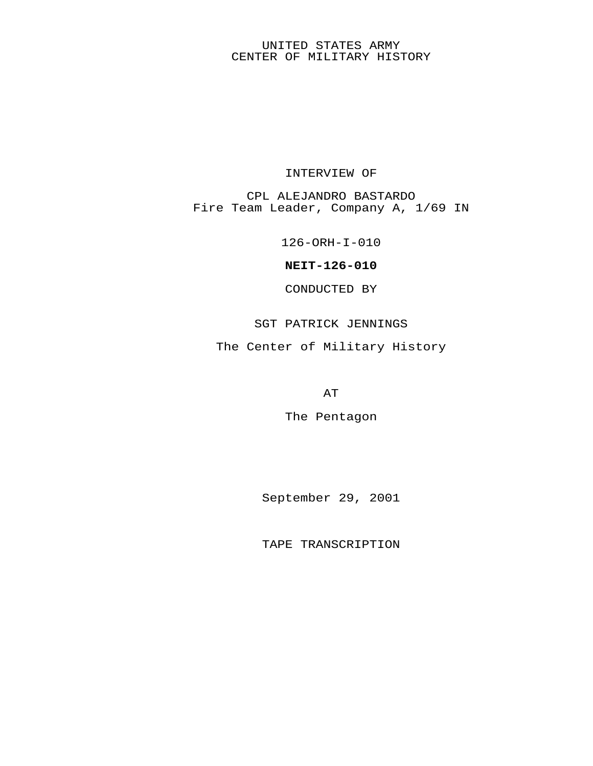## UNITED STATES ARMY CENTER OF MILITARY HISTORY

## INTERVIEW OF

CPL ALEJANDRO BASTARDO Fire Team Leader, Company A, 1/69 IN

126-ORH-I-010

**NEIT-126-010**

CONDUCTED BY

SGT PATRICK JENNINGS

The Center of Military History

AT

The Pentagon

September 29, 2001

TAPE TRANSCRIPTION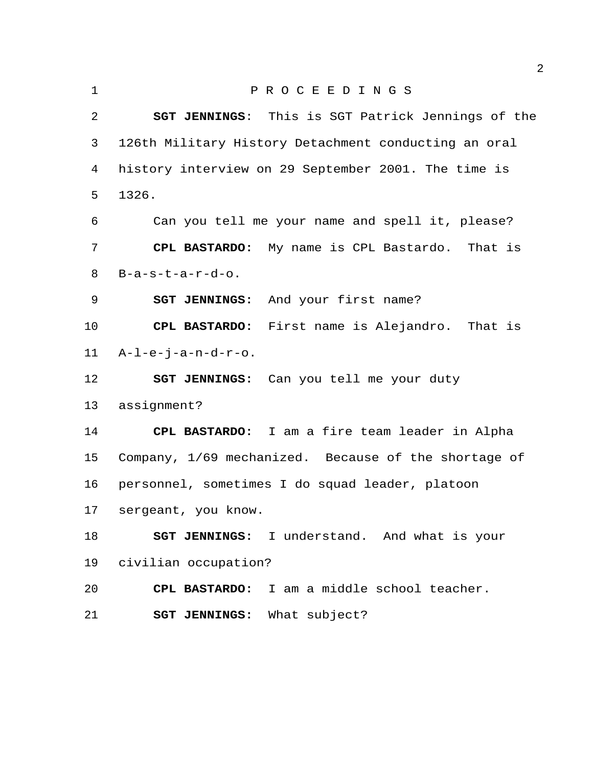| 2<br>SGT JENNINGS: This is SGT Patrick Jennings of the     |
|------------------------------------------------------------|
|                                                            |
| 3<br>126th Military History Detachment conducting an oral  |
| history interview on 29 September 2001. The time is<br>4   |
| 5<br>1326.                                                 |
| Can you tell me your name and spell it, please?<br>6       |
| 7<br>CPL BASTARDO: My name is CPL Bastardo. That is        |
| 8<br>$B-a-s-t-a-r-d-o.$                                    |
| 9<br>SGT JENNINGS: And your first name?                    |
| $10 \,$<br>CPL BASTARDO: First name is Alejandro. That is  |
| 11<br>$A-L-e-j-a-n-d-r-o.$                                 |
| 12<br><b>SGT JENNINGS:</b> Can you tell me your duty       |
| 13<br>assignment?                                          |
| 14<br>CPL BASTARDO: I am a fire team leader in Alpha       |
| Company, 1/69 mechanized. Because of the shortage of<br>15 |
| 16<br>personnel, sometimes I do squad leader, platoon      |
| 17<br>sergeant, you know.                                  |
| 18<br>SGT JENNINGS: I understand. And what is your         |
| civilian occupation?<br>19                                 |
| 20<br>I am a middle school teacher.<br>CPL BASTARDO:       |
| 21<br>SGT JENNINGS: What subject?                          |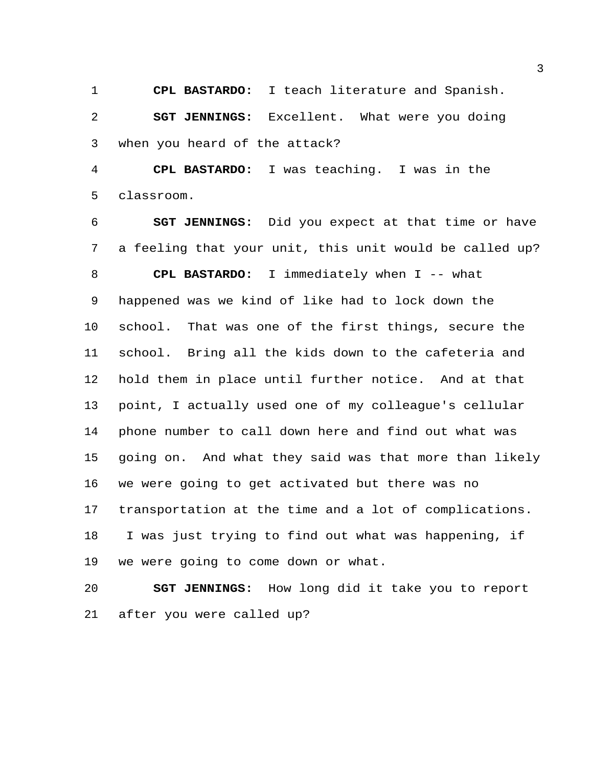**CPL BASTARDO:** I teach literature and Spanish.

 **SGT JENNINGS:** Excellent. What were you doing when you heard of the attack?

 **CPL BASTARDO:** I was teaching. I was in the classroom.

 **SGT JENNINGS:** Did you expect at that time or have a feeling that your unit, this unit would be called up? **CPL BASTARDO:** I immediately when I -- what happened was we kind of like had to lock down the school. That was one of the first things, secure the school. Bring all the kids down to the cafeteria and hold them in place until further notice. And at that point, I actually used one of my colleague's cellular phone number to call down here and find out what was going on. And what they said was that more than likely we were going to get activated but there was no transportation at the time and a lot of complications. I was just trying to find out what was happening, if we were going to come down or what.

 **SGT JENNINGS:** How long did it take you to report after you were called up?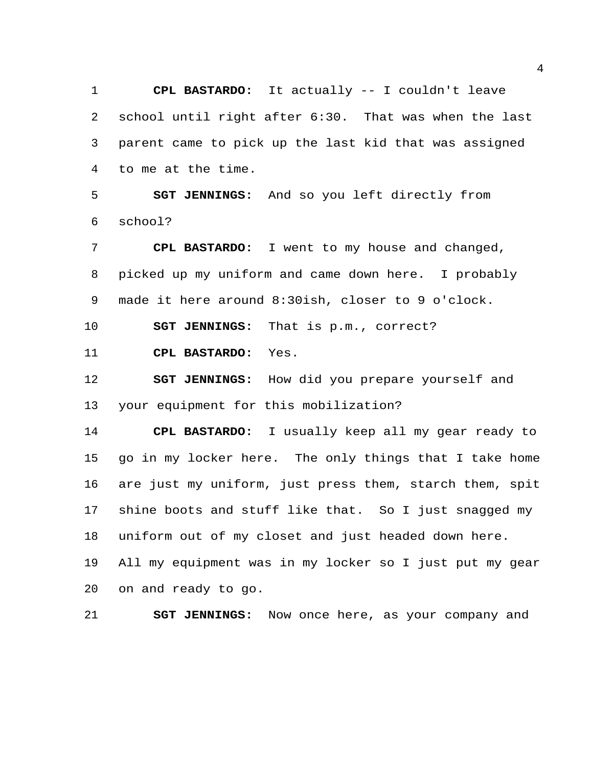**CPL BASTARDO:** It actually -- I couldn't leave school until right after 6:30. That was when the last parent came to pick up the last kid that was assigned to me at the time.

 **SGT JENNINGS:** And so you left directly from school?

 **CPL BASTARDO:** I went to my house and changed, picked up my uniform and came down here. I probably made it here around 8:30ish, closer to 9 o'clock.

**SGT JENNINGS:** That is p.m., correct?

**CPL BASTARDO:** Yes.

 **SGT JENNINGS:** How did you prepare yourself and your equipment for this mobilization?

 **CPL BASTARDO:** I usually keep all my gear ready to go in my locker here. The only things that I take home are just my uniform, just press them, starch them, spit shine boots and stuff like that. So I just snagged my uniform out of my closet and just headed down here. All my equipment was in my locker so I just put my gear on and ready to go.

**SGT JENNINGS:** Now once here, as your company and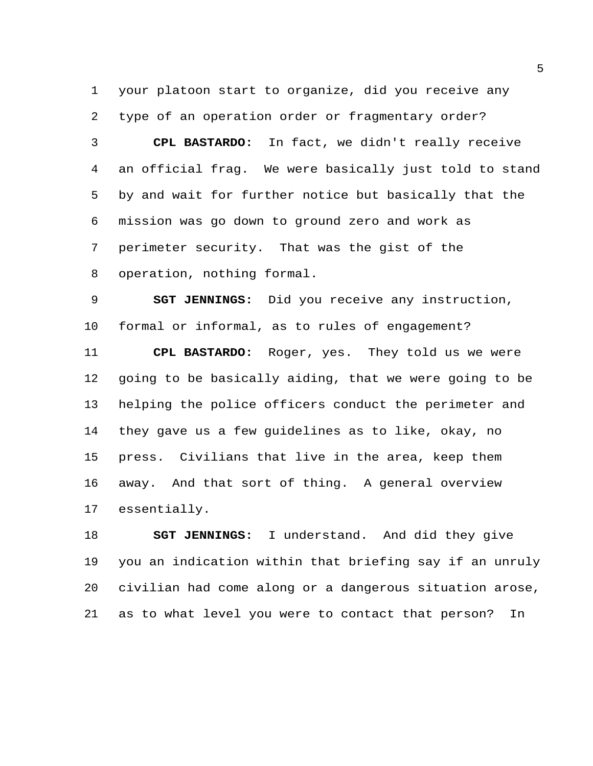your platoon start to organize, did you receive any type of an operation order or fragmentary order?

 **CPL BASTARDO:** In fact, we didn't really receive an official frag. We were basically just told to stand by and wait for further notice but basically that the mission was go down to ground zero and work as perimeter security. That was the gist of the operation, nothing formal.

 **SGT JENNINGS:** Did you receive any instruction, formal or informal, as to rules of engagement?

 **CPL BASTARDO:** Roger, yes. They told us we were going to be basically aiding, that we were going to be helping the police officers conduct the perimeter and they gave us a few guidelines as to like, okay, no press. Civilians that live in the area, keep them away. And that sort of thing. A general overview essentially.

 **SGT JENNINGS:** I understand. And did they give you an indication within that briefing say if an unruly civilian had come along or a dangerous situation arose, as to what level you were to contact that person? In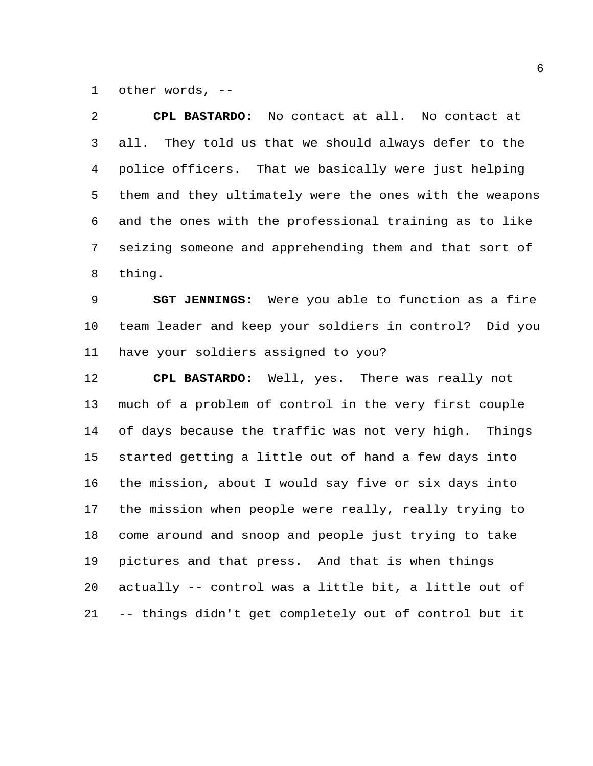other words, --

| 2  | CPL BASTARDO: No contact at all. No contact at           |
|----|----------------------------------------------------------|
| 3  | all. They told us that we should always defer to the     |
| 4  | police officers. That we basically were just helping     |
| 5  | them and they ultimately were the ones with the weapons  |
| 6  | and the ones with the professional training as to like   |
| 7  | seizing someone and apprehending them and that sort of   |
| 8  | thing.                                                   |
| 9  | <b>SGT JENNINGS:</b> Were you able to function as a fire |
| 10 | team leader and keep your soldiers in control? Did you   |
| 11 | have your soldiers assigned to you?                      |
|    |                                                          |
| 12 | CPL BASTARDO: Well, yes. There was really not            |
| 13 | much of a problem of control in the very first couple    |
| 14 | of days because the traffic was not very high. Things    |
| 15 | started getting a little out of hand a few days into     |
| 16 | the mission, about I would say five or six days into     |
| 17 | the mission when people were really, really trying to    |
| 18 | come around and snoop and people just trying to take     |
| 19 | pictures and that press. And that is when things         |
| 20 | actually -- control was a little bit, a little out of    |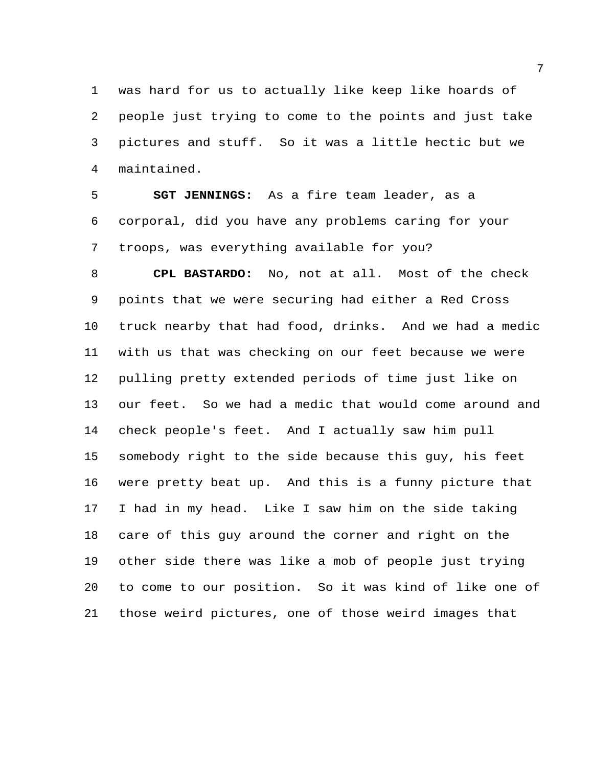was hard for us to actually like keep like hoards of people just trying to come to the points and just take pictures and stuff. So it was a little hectic but we maintained.

 **SGT JENNINGS:** As a fire team leader, as a corporal, did you have any problems caring for your troops, was everything available for you?

 **CPL BASTARDO:** No, not at all. Most of the check points that we were securing had either a Red Cross truck nearby that had food, drinks. And we had a medic with us that was checking on our feet because we were pulling pretty extended periods of time just like on our feet. So we had a medic that would come around and check people's feet. And I actually saw him pull somebody right to the side because this guy, his feet were pretty beat up. And this is a funny picture that I had in my head. Like I saw him on the side taking care of this guy around the corner and right on the other side there was like a mob of people just trying to come to our position. So it was kind of like one of those weird pictures, one of those weird images that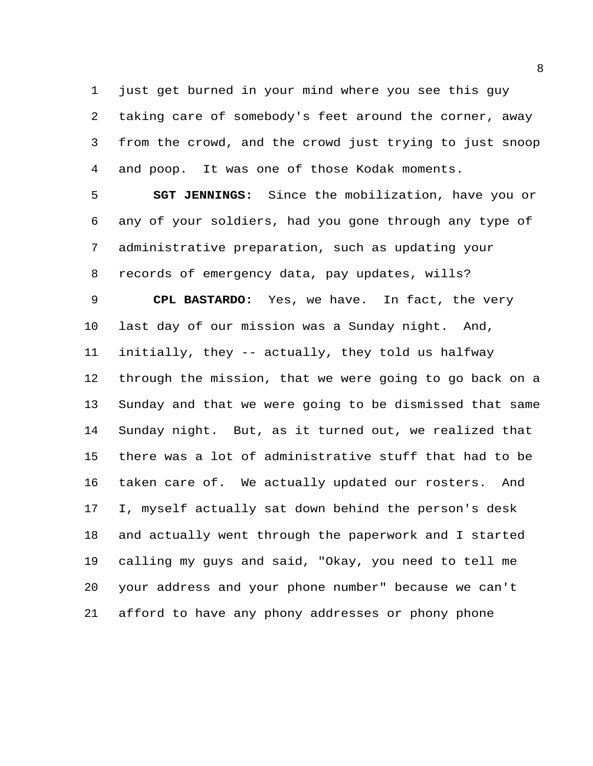just get burned in your mind where you see this guy taking care of somebody's feet around the corner, away from the crowd, and the crowd just trying to just snoop and poop. It was one of those Kodak moments.

 **SGT JENNINGS:** Since the mobilization, have you or any of your soldiers, had you gone through any type of administrative preparation, such as updating your records of emergency data, pay updates, wills?

 **CPL BASTARDO:** Yes, we have. In fact, the very last day of our mission was a Sunday night. And, initially, they -- actually, they told us halfway through the mission, that we were going to go back on a Sunday and that we were going to be dismissed that same Sunday night. But, as it turned out, we realized that there was a lot of administrative stuff that had to be taken care of. We actually updated our rosters. And I, myself actually sat down behind the person's desk and actually went through the paperwork and I started calling my guys and said, "Okay, you need to tell me your address and your phone number" because we can't afford to have any phony addresses or phony phone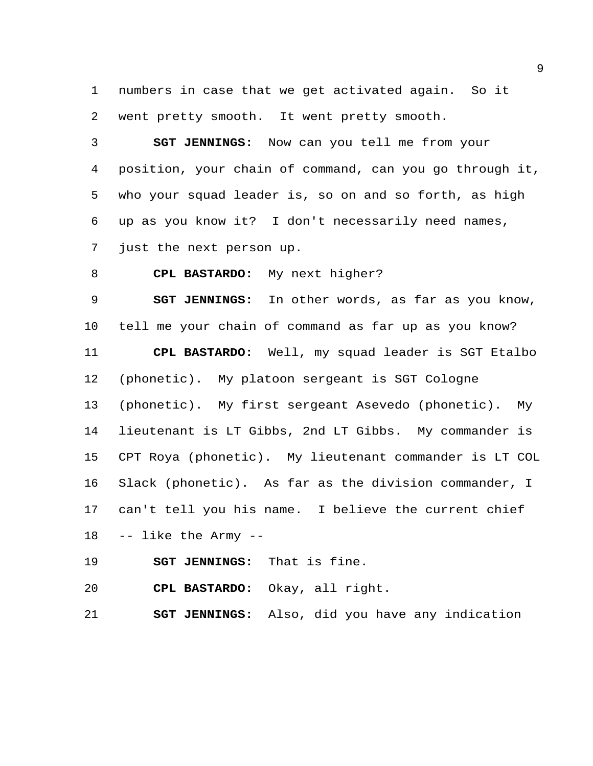numbers in case that we get activated again. So it went pretty smooth. It went pretty smooth.

 **SGT JENNINGS:** Now can you tell me from your position, your chain of command, can you go through it, who your squad leader is, so on and so forth, as high up as you know it? I don't necessarily need names, just the next person up.

**CPL BASTARDO:** My next higher?

 **SGT JENNINGS:** In other words, as far as you know, tell me your chain of command as far up as you know? **CPL BASTARDO:** Well, my squad leader is SGT Etalbo (phonetic). My platoon sergeant is SGT Cologne (phonetic). My first sergeant Asevedo (phonetic). My lieutenant is LT Gibbs, 2nd LT Gibbs. My commander is CPT Roya (phonetic). My lieutenant commander is LT COL Slack (phonetic). As far as the division commander, I can't tell you his name. I believe the current chief -- like the Army --

**SGT JENNINGS:** That is fine.

**CPL BASTARDO:** Okay, all right.

**SGT JENNINGS:** Also, did you have any indication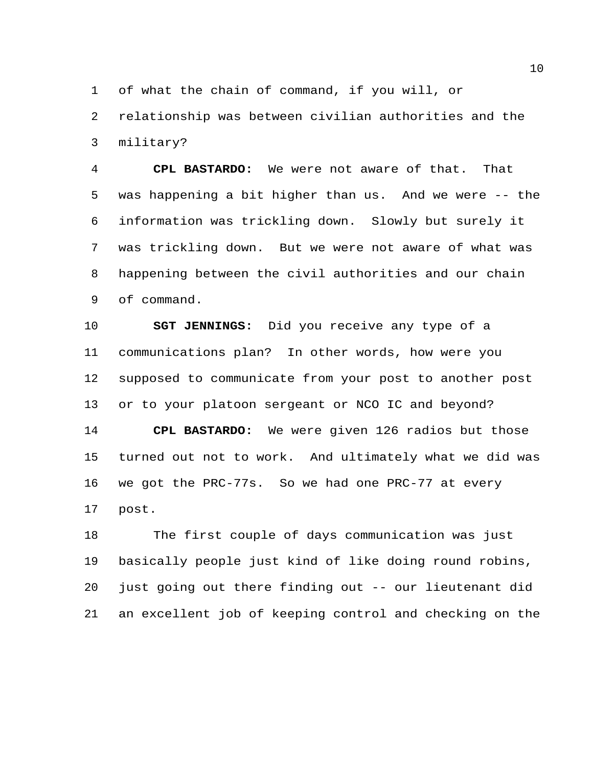of what the chain of command, if you will, or

 relationship was between civilian authorities and the military?

 **CPL BASTARDO:** We were not aware of that. That was happening a bit higher than us. And we were -- the information was trickling down. Slowly but surely it was trickling down. But we were not aware of what was happening between the civil authorities and our chain of command.

 **SGT JENNINGS:** Did you receive any type of a communications plan? In other words, how were you supposed to communicate from your post to another post or to your platoon sergeant or NCO IC and beyond? **CPL BASTARDO:** We were given 126 radios but those turned out not to work. And ultimately what we did was we got the PRC-77s. So we had one PRC-77 at every post.

 The first couple of days communication was just basically people just kind of like doing round robins, just going out there finding out -- our lieutenant did an excellent job of keeping control and checking on the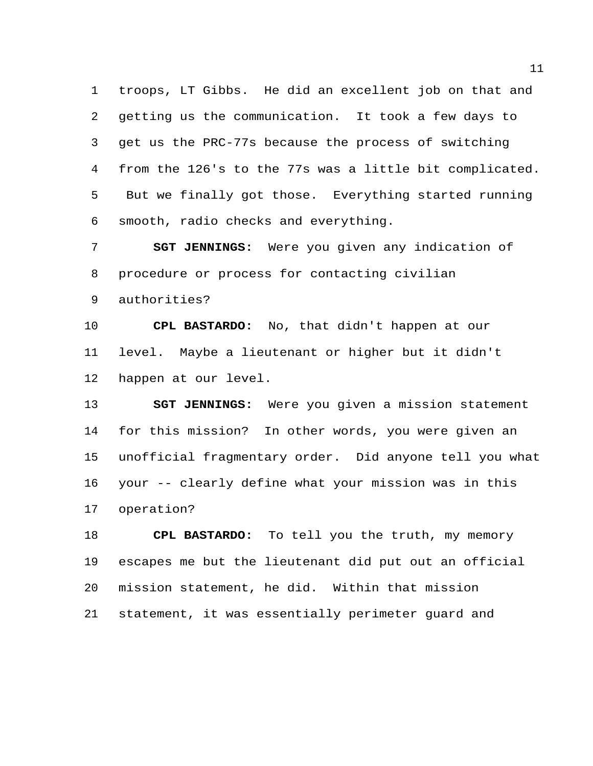troops, LT Gibbs. He did an excellent job on that and getting us the communication. It took a few days to get us the PRC-77s because the process of switching from the 126's to the 77s was a little bit complicated. But we finally got those. Everything started running smooth, radio checks and everything.

 **SGT JENNINGS:** Were you given any indication of procedure or process for contacting civilian

authorities?

 **CPL BASTARDO:** No, that didn't happen at our level. Maybe a lieutenant or higher but it didn't happen at our level.

 **SGT JENNINGS:** Were you given a mission statement for this mission? In other words, you were given an unofficial fragmentary order. Did anyone tell you what your -- clearly define what your mission was in this operation?

 **CPL BASTARDO:** To tell you the truth, my memory escapes me but the lieutenant did put out an official mission statement, he did. Within that mission statement, it was essentially perimeter guard and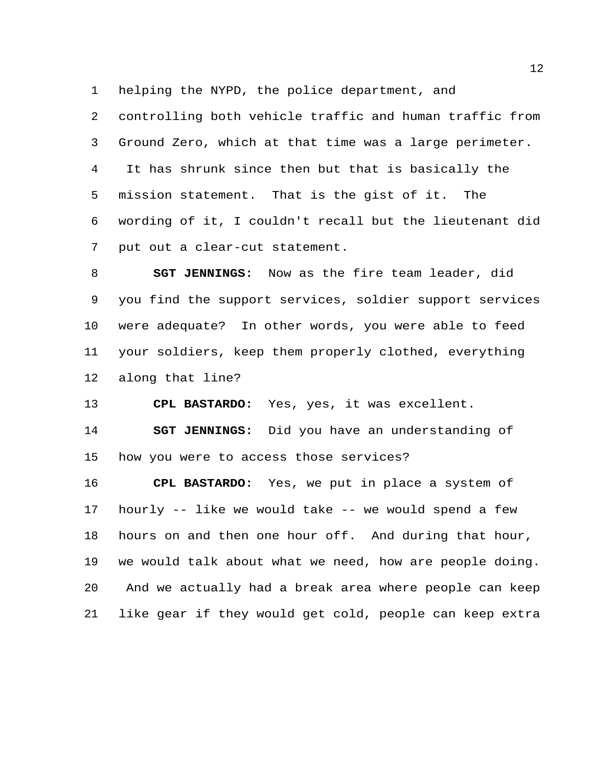helping the NYPD, the police department, and

 controlling both vehicle traffic and human traffic from Ground Zero, which at that time was a large perimeter. It has shrunk since then but that is basically the mission statement. That is the gist of it. The wording of it, I couldn't recall but the lieutenant did put out a clear-cut statement.

 **SGT JENNINGS:** Now as the fire team leader, did you find the support services, soldier support services were adequate? In other words, you were able to feed your soldiers, keep them properly clothed, everything along that line?

**CPL BASTARDO:** Yes, yes, it was excellent.

 **SGT JENNINGS:** Did you have an understanding of how you were to access those services?

 **CPL BASTARDO:** Yes, we put in place a system of hourly -- like we would take -- we would spend a few hours on and then one hour off. And during that hour, we would talk about what we need, how are people doing. And we actually had a break area where people can keep like gear if they would get cold, people can keep extra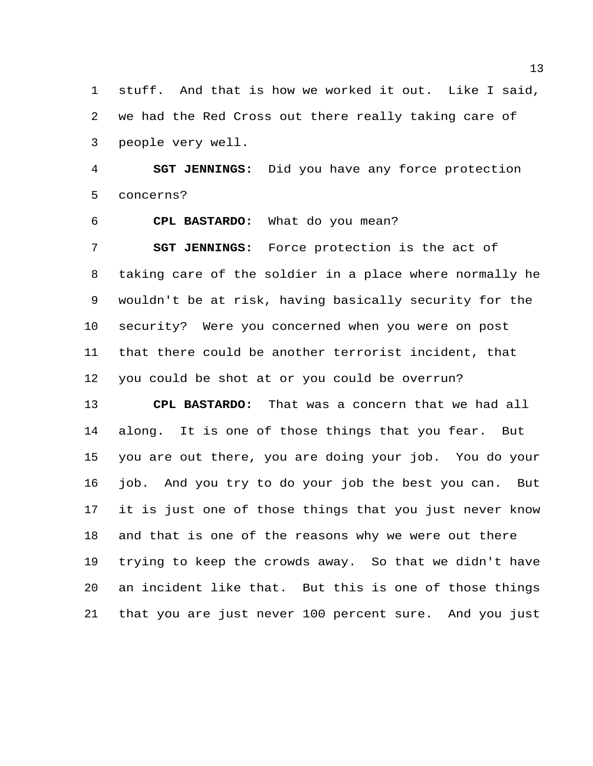stuff. And that is how we worked it out. Like I said, we had the Red Cross out there really taking care of people very well.

 **SGT JENNINGS:** Did you have any force protection concerns?

**CPL BASTARDO:** What do you mean?

 **SGT JENNINGS:** Force protection is the act of taking care of the soldier in a place where normally he wouldn't be at risk, having basically security for the security? Were you concerned when you were on post that there could be another terrorist incident, that you could be shot at or you could be overrun?

 **CPL BASTARDO:** That was a concern that we had all along. It is one of those things that you fear. But you are out there, you are doing your job. You do your job. And you try to do your job the best you can. But it is just one of those things that you just never know and that is one of the reasons why we were out there trying to keep the crowds away. So that we didn't have an incident like that. But this is one of those things that you are just never 100 percent sure. And you just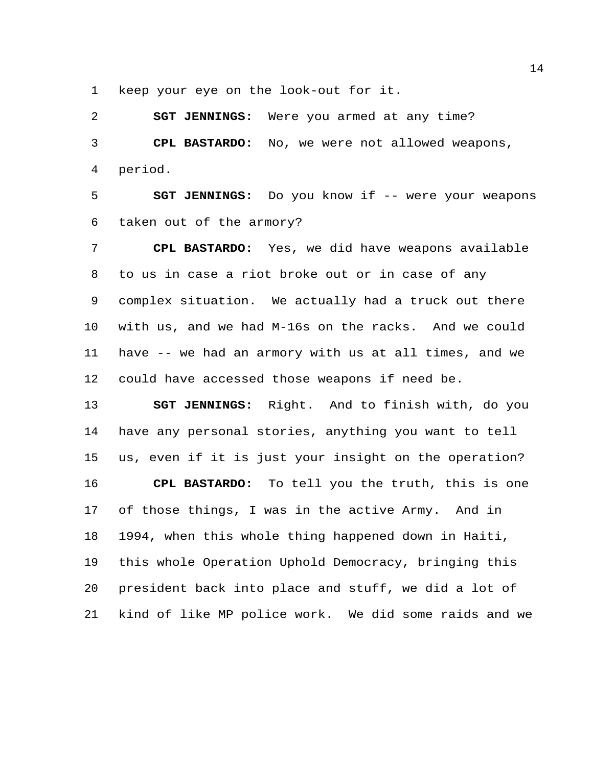keep your eye on the look-out for it.

 **SGT JENNINGS:** Were you armed at any time? **CPL BASTARDO:** No, we were not allowed weapons, period.

**SGT JENNINGS:** Do you know if -- were your weapons taken out of the armory?

 **CPL BASTARDO:** Yes, we did have weapons available to us in case a riot broke out or in case of any complex situation. We actually had a truck out there with us, and we had M-16s on the racks. And we could have -- we had an armory with us at all times, and we could have accessed those weapons if need be.

 **SGT JENNINGS:** Right. And to finish with, do you have any personal stories, anything you want to tell us, even if it is just your insight on the operation? **CPL BASTARDO:** To tell you the truth, this is one of those things, I was in the active Army. And in 1994, when this whole thing happened down in Haiti, this whole Operation Uphold Democracy, bringing this president back into place and stuff, we did a lot of kind of like MP police work. We did some raids and we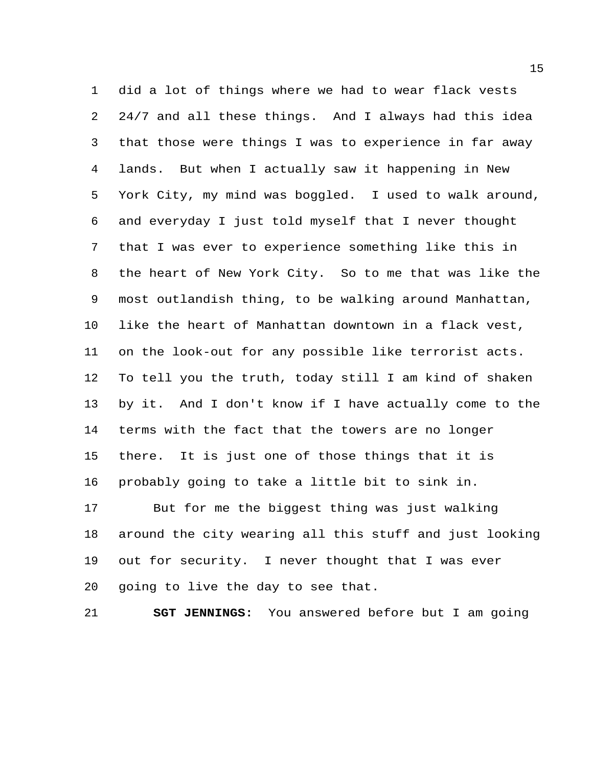did a lot of things where we had to wear flack vests 24/7 and all these things. And I always had this idea that those were things I was to experience in far away lands. But when I actually saw it happening in New York City, my mind was boggled. I used to walk around, and everyday I just told myself that I never thought that I was ever to experience something like this in the heart of New York City. So to me that was like the most outlandish thing, to be walking around Manhattan, like the heart of Manhattan downtown in a flack vest, on the look-out for any possible like terrorist acts. To tell you the truth, today still I am kind of shaken by it. And I don't know if I have actually come to the terms with the fact that the towers are no longer there. It is just one of those things that it is probably going to take a little bit to sink in. But for me the biggest thing was just walking

 around the city wearing all this stuff and just looking out for security. I never thought that I was ever going to live the day to see that.

**SGT JENNINGS:** You answered before but I am going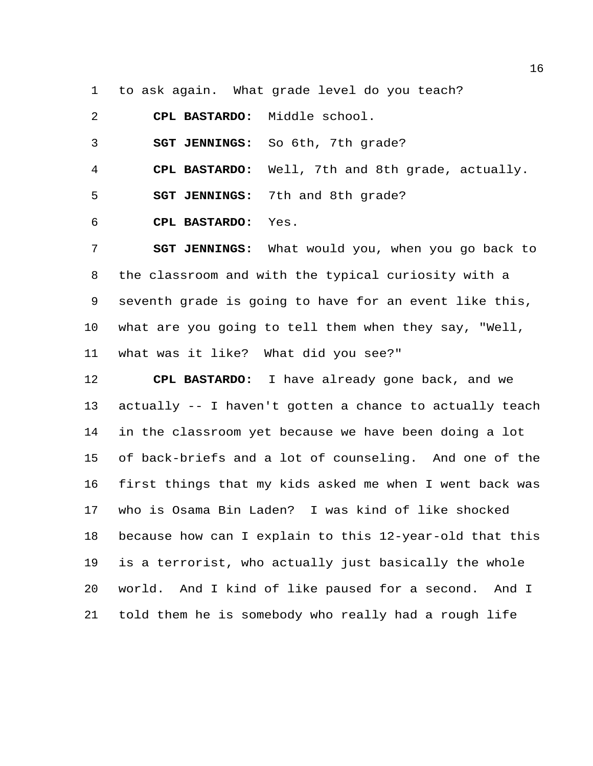to ask again. What grade level do you teach?

**CPL BASTARDO:** Middle school.

**SGT JENNINGS:** So 6th, 7th grade?

**CPL BASTARDO:** Well, 7th and 8th grade, actually.

**SGT JENNINGS:** 7th and 8th grade?

**CPL BASTARDO:** Yes.

 **SGT JENNINGS:** What would you, when you go back to the classroom and with the typical curiosity with a seventh grade is going to have for an event like this, what are you going to tell them when they say, "Well, what was it like? What did you see?"

 **CPL BASTARDO:** I have already gone back, and we actually -- I haven't gotten a chance to actually teach in the classroom yet because we have been doing a lot of back-briefs and a lot of counseling. And one of the first things that my kids asked me when I went back was who is Osama Bin Laden? I was kind of like shocked because how can I explain to this 12-year-old that this is a terrorist, who actually just basically the whole world. And I kind of like paused for a second. And I told them he is somebody who really had a rough life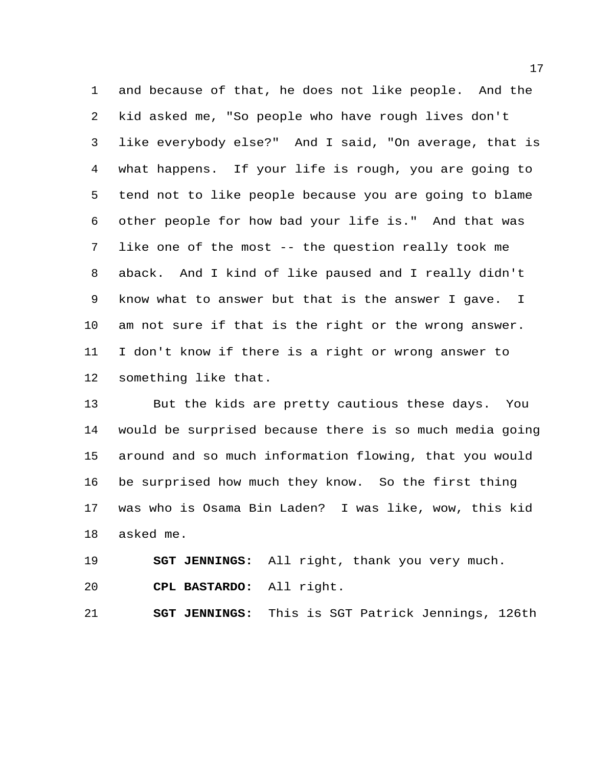and because of that, he does not like people. And the kid asked me, "So people who have rough lives don't like everybody else?" And I said, "On average, that is what happens. If your life is rough, you are going to tend not to like people because you are going to blame other people for how bad your life is." And that was like one of the most -- the question really took me aback. And I kind of like paused and I really didn't know what to answer but that is the answer I gave. I am not sure if that is the right or the wrong answer. I don't know if there is a right or wrong answer to something like that.

 But the kids are pretty cautious these days. You would be surprised because there is so much media going around and so much information flowing, that you would be surprised how much they know. So the first thing was who is Osama Bin Laden? I was like, wow, this kid asked me.

 **SGT JENNINGS:** All right, thank you very much. **CPL BASTARDO:** All right.

**SGT JENNINGS:** This is SGT Patrick Jennings, 126th